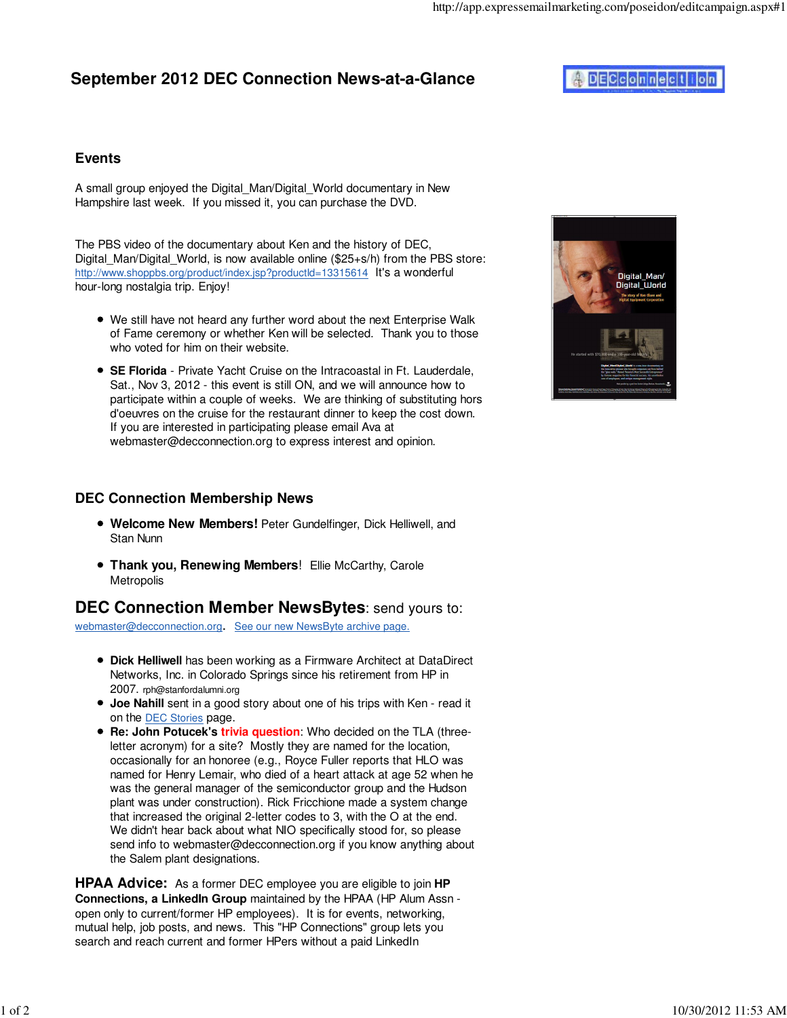## **September 2012 DEC Connection News-at-a-Glance**

# **ADECconnection**

#### **Events**

A small group enjoyed the Digital\_Man/Digital\_World documentary in New Hampshire last week. If you missed it, you can purchase the DVD.

The PBS video of the documentary about Ken and the history of DEC, Digital Man/Digital World, is now available online (\$25+s/h) from the PBS store: http://www.shoppbs.org/product/index.jsp?productId=13315614 It's a wonderful hour-long nostalgia trip. Enjoy!

- We still have not heard any further word about the next Enterprise Walk of Fame ceremony or whether Ken will be selected. Thank you to those who voted for him on their website.
- **SE Florida** Private Yacht Cruise on the Intracoastal in Ft. Lauderdale, Sat., Nov 3, 2012 - this event is still ON, and we will announce how to participate within a couple of weeks. We are thinking of substituting hors d'oeuvres on the cruise for the restaurant dinner to keep the cost down. If you are interested in participating please email Ava at webmaster@decconnection.org to express interest and opinion.

#### **DEC Connection Membership News**

- **Welcome New Members!** Peter Gundelfinger, Dick Helliwell, and Stan Nunn
- **Thank you, Renewing Members!** Ellie McCarthy, Carole **Metropolis**

## **DEC Connection Member NewsBytes**: send yours to:

webmaster@decconnection.org. See our new NewsByte archive page.

- **Dick Helliwell** has been working as a Firmware Architect at DataDirect Networks, Inc. in Colorado Springs since his retirement from HP in 2007. rph@stanfordalumni.org
- **Joe Nahill** sent in a good story about one of his trips with Ken read it on the DEC Stories page.
- **Re: John Potucek's trivia question**: Who decided on the TLA (threeletter acronym) for a site? Mostly they are named for the location, occasionally for an honoree (e.g., Royce Fuller reports that HLO was named for Henry Lemair, who died of a heart attack at age 52 when he was the general manager of the semiconductor group and the Hudson plant was under construction). Rick Fricchione made a system change that increased the original 2-letter codes to 3, with the O at the end. We didn't hear back about what NIO specifically stood for, so please send info to webmaster@decconnection.org if you know anything about the Salem plant designations.

**HPAA Advice:** As a former DEC employee you are eligible to join **HP Connections, a LinkedIn Group** maintained by the HPAA (HP Alum Assn open only to current/former HP employees). It is for events, networking, mutual help, job posts, and news. This "HP Connections" group lets you search and reach current and former HPers without a paid LinkedIn